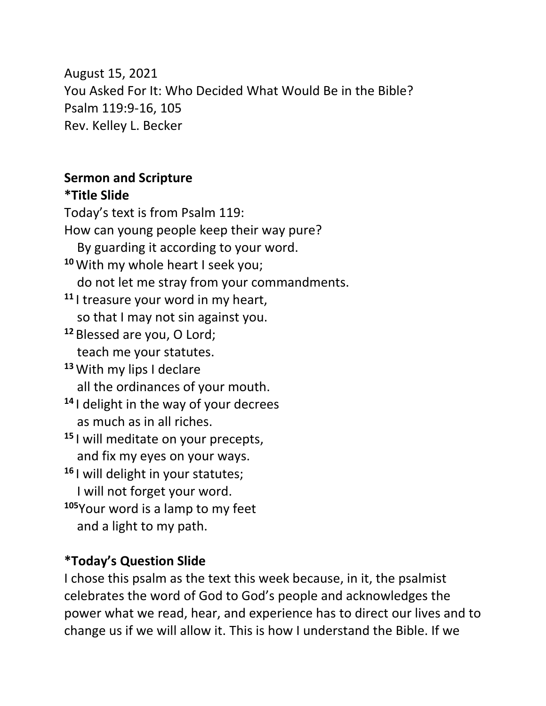August 15, 2021 You Asked For It: Who Decided What Would Be in the Bible? Psalm 119:9-16, 105 Rev. Kelley L. Becker

#### **Sermon and Scripture \*Title Slide**

Today's text is from Psalm 119: How can young people keep their way pure? By guarding it according to your word. **<sup>10</sup>**With my whole heart I seek you; do not let me stray from your commandments. **<sup>11</sup>** I treasure your word in my heart, so that I may not sin against you. **<sup>12</sup>** Blessed are you, O Lord; teach me your statutes. **<sup>13</sup>**With my lips I declare all the ordinances of your mouth. **<sup>14</sup>** I delight in the way of your decrees as much as in all riches. **<sup>15</sup>** I will meditate on your precepts, and fix my eyes on your ways. **<sup>16</sup>** I will delight in your statutes; I will not forget your word. **<sup>105</sup>**Your word is a lamp to my feet and a light to my path.

#### **\*Today's Question Slide**

I chose this psalm as the text this week because, in it, the psalmist celebrates the word of God to God's people and acknowledges the power what we read, hear, and experience has to direct our lives and to change us if we will allow it. This is how I understand the Bible. If we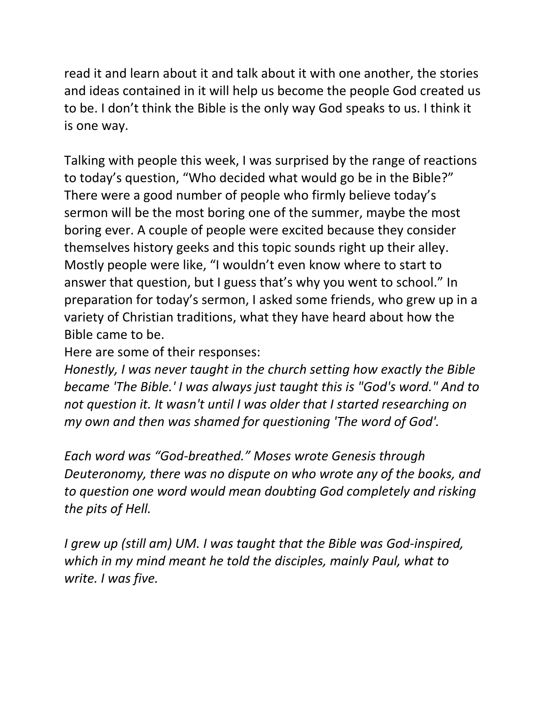read it and learn about it and talk about it with one another, the stories and ideas contained in it will help us become the people God created us to be. I don't think the Bible is the only way God speaks to us. I think it is one way.

Talking with people this week, I was surprised by the range of reactions to today's question, "Who decided what would go be in the Bible?" There were a good number of people who firmly believe today's sermon will be the most boring one of the summer, maybe the most boring ever. A couple of people were excited because they consider themselves history geeks and this topic sounds right up their alley. Mostly people were like, "I wouldn't even know where to start to answer that question, but I guess that's why you went to school." In preparation for today's sermon, I asked some friends, who grew up in a variety of Christian traditions, what they have heard about how the Bible came to be.

Here are some of their responses:

*Honestly, I was never taught in the church setting how exactly the Bible became 'The Bible.' I was always just taught this is "God's word." And to not question it. It wasn't until I was older that I started researching on my own and then was shamed for questioning 'The word of God'.*

*Each word was "God-breathed." Moses wrote Genesis through Deuteronomy, there was no dispute on who wrote any of the books, and to question one word would mean doubting God completely and risking the pits of Hell.* 

*I grew up (still am) UM. I was taught that the Bible was God-inspired, which in my mind meant he told the disciples, mainly Paul, what to write. I was five.*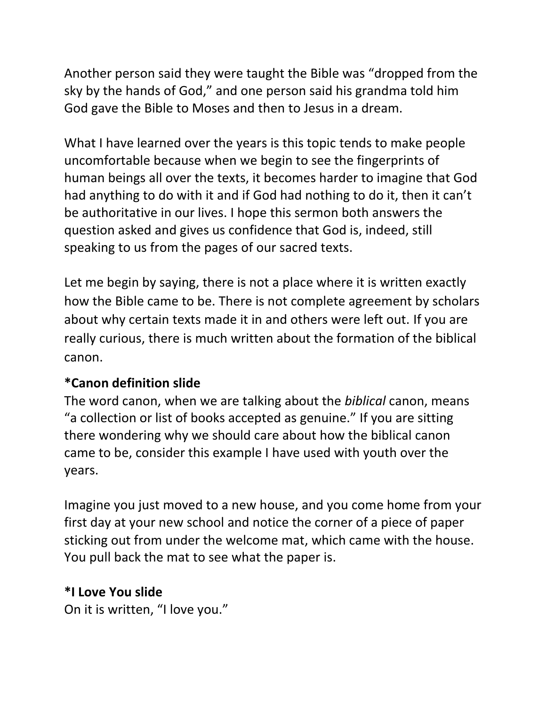Another person said they were taught the Bible was "dropped from the sky by the hands of God," and one person said his grandma told him God gave the Bible to Moses and then to Jesus in a dream.

What I have learned over the years is this topic tends to make people uncomfortable because when we begin to see the fingerprints of human beings all over the texts, it becomes harder to imagine that God had anything to do with it and if God had nothing to do it, then it can't be authoritative in our lives. I hope this sermon both answers the question asked and gives us confidence that God is, indeed, still speaking to us from the pages of our sacred texts.

Let me begin by saying, there is not a place where it is written exactly how the Bible came to be. There is not complete agreement by scholars about why certain texts made it in and others were left out. If you are really curious, there is much written about the formation of the biblical canon.

## **\*Canon definition slide**

The word canon, when we are talking about the *biblical* canon, means "a collection or list of books accepted as genuine." If you are sitting there wondering why we should care about how the biblical canon came to be, consider this example I have used with youth over the years.

Imagine you just moved to a new house, and you come home from your first day at your new school and notice the corner of a piece of paper sticking out from under the welcome mat, which came with the house. You pull back the mat to see what the paper is.

#### **\*I Love You slide**

On it is written, "I love you."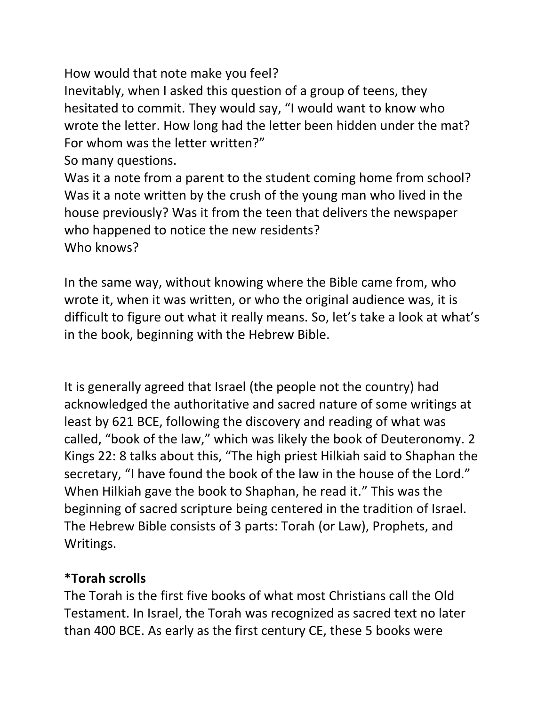How would that note make you feel?

Inevitably, when I asked this question of a group of teens, they hesitated to commit. They would say, "I would want to know who wrote the letter. How long had the letter been hidden under the mat? For whom was the letter written?"

So many questions.

Was it a note from a parent to the student coming home from school? Was it a note written by the crush of the young man who lived in the house previously? Was it from the teen that delivers the newspaper who happened to notice the new residents? Who knows?

In the same way, without knowing where the Bible came from, who wrote it, when it was written, or who the original audience was, it is difficult to figure out what it really means. So, let's take a look at what's in the book, beginning with the Hebrew Bible.

It is generally agreed that Israel (the people not the country) had acknowledged the authoritative and sacred nature of some writings at least by 621 BCE, following the discovery and reading of what was called, "book of the law," which was likely the book of Deuteronomy. 2 Kings 22: 8 talks about this, "The high priest Hilkiah said to Shaphan the secretary, "I have found the book of the law in the house of the Lord." When Hilkiah gave the book to Shaphan, he read it." This was the beginning of sacred scripture being centered in the tradition of Israel. The Hebrew Bible consists of 3 parts: Torah (or Law), Prophets, and Writings.

## **\*Torah scrolls**

The Torah is the first five books of what most Christians call the Old Testament. In Israel, the Torah was recognized as sacred text no later than 400 BCE. As early as the first century CE, these 5 books were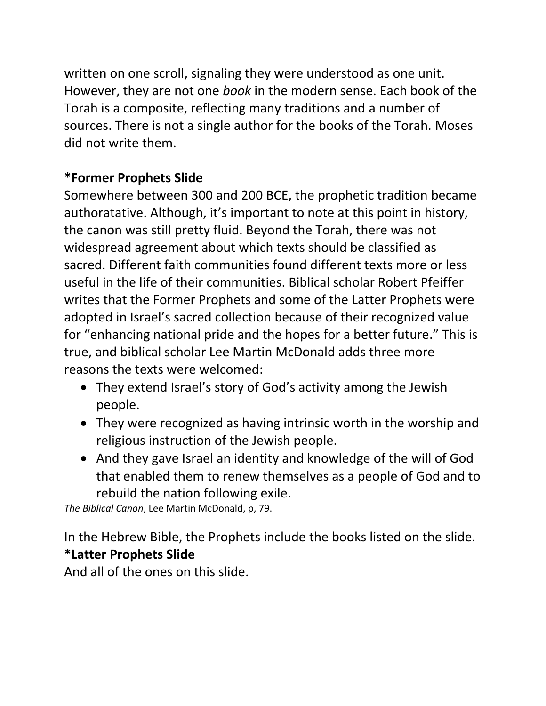written on one scroll, signaling they were understood as one unit. However, they are not one *book* in the modern sense. Each book of the Torah is a composite, reflecting many traditions and a number of sources. There is not a single author for the books of the Torah. Moses did not write them.

## **\*Former Prophets Slide**

Somewhere between 300 and 200 BCE, the prophetic tradition became authoratative. Although, it's important to note at this point in history, the canon was still pretty fluid. Beyond the Torah, there was not widespread agreement about which texts should be classified as sacred. Different faith communities found different texts more or less useful in the life of their communities. Biblical scholar Robert Pfeiffer writes that the Former Prophets and some of the Latter Prophets were adopted in Israel's sacred collection because of their recognized value for "enhancing national pride and the hopes for a better future." This is true, and biblical scholar Lee Martin McDonald adds three more reasons the texts were welcomed:

- They extend Israel's story of God's activity among the Jewish people.
- They were recognized as having intrinsic worth in the worship and religious instruction of the Jewish people.
- And they gave Israel an identity and knowledge of the will of God that enabled them to renew themselves as a people of God and to rebuild the nation following exile.

*The Biblical Canon*, Lee Martin McDonald, p, 79.

In the Hebrew Bible, the Prophets include the books listed on the slide. **\*Latter Prophets Slide**

And all of the ones on this slide.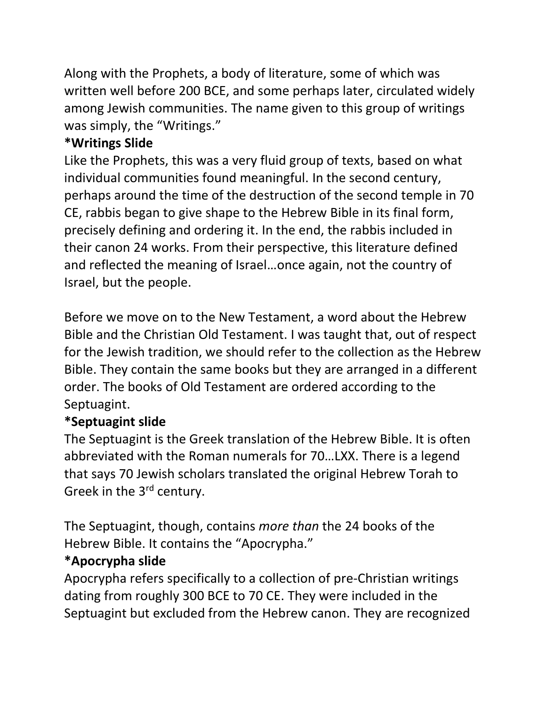Along with the Prophets, a body of literature, some of which was written well before 200 BCE, and some perhaps later, circulated widely among Jewish communities. The name given to this group of writings was simply, the "Writings."

## **\*Writings Slide**

Like the Prophets, this was a very fluid group of texts, based on what individual communities found meaningful. In the second century, perhaps around the time of the destruction of the second temple in 70 CE, rabbis began to give shape to the Hebrew Bible in its final form, precisely defining and ordering it. In the end, the rabbis included in their canon 24 works. From their perspective, this literature defined and reflected the meaning of Israel…once again, not the country of Israel, but the people.

Before we move on to the New Testament, a word about the Hebrew Bible and the Christian Old Testament. I was taught that, out of respect for the Jewish tradition, we should refer to the collection as the Hebrew Bible. They contain the same books but they are arranged in a different order. The books of Old Testament are ordered according to the Septuagint.

## **\*Septuagint slide**

The Septuagint is the Greek translation of the Hebrew Bible. It is often abbreviated with the Roman numerals for 70…LXX. There is a legend that says 70 Jewish scholars translated the original Hebrew Torah to Greek in the 3<sup>rd</sup> century.

The Septuagint, though, contains *more than* the 24 books of the Hebrew Bible. It contains the "Apocrypha."

# **\*Apocrypha slide**

Apocrypha refers specifically to a collection of pre-Christian writings dating from roughly 300 BCE to 70 CE. They were included in the Septuagint but excluded from the Hebrew canon. They are recognized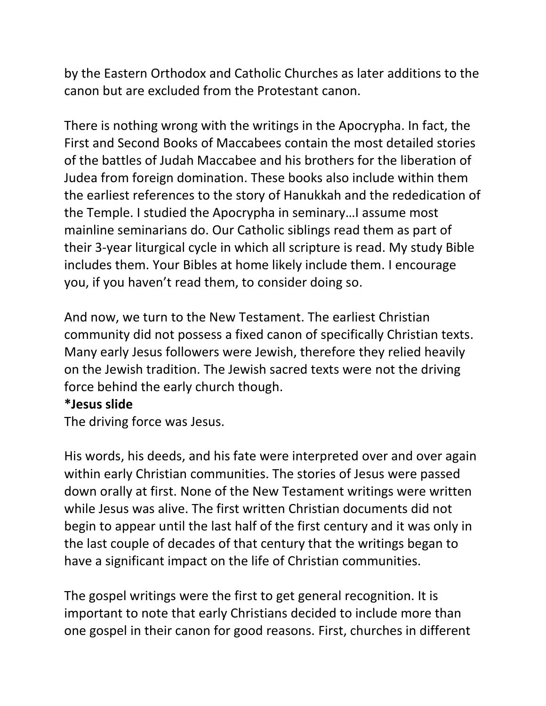by the Eastern Orthodox and Catholic Churches as later additions to the canon but are excluded from the Protestant canon.

There is nothing wrong with the writings in the Apocrypha. In fact, the [First](http://www.myjewishlearning.com/texts/Bible/Origins_of_the_Bible/Other_Ancient_Texts/Books_of_Maccabees/First_Maccabees.shtml) and [Second Books](http://www.myjewishlearning.com/texts/Bible/Origins_of_the_Bible/Other_Ancient_Texts/Books_of_Maccabees/Second_Maccabees.shtml) of Maccabees contain the most detailed stories of the battles of Judah Maccabee and his brothers for the liberation of Judea from foreign domination. These books also include within them the earliest references to the story of Hanukkah and the rededication of the Temple. I studied the Apocrypha in seminary…I assume most mainline seminarians do. Our Catholic siblings read them as part of their 3-year liturgical cycle in which all scripture is read. My study Bible includes them. Your Bibles at home likely include them. I encourage you, if you haven't read them, to consider doing so.

And now, we turn to the New Testament. The earliest Christian community did not possess a fixed canon of specifically Christian texts. Many early Jesus followers were Jewish, therefore they relied heavily on the Jewish tradition. The Jewish sacred texts were not the driving force behind the early church though.

#### **\*Jesus slide**

The driving force was Jesus.

His words, his deeds, and his fate were interpreted over and over again within early Christian communities. The stories of Jesus were passed down orally at first. None of the New Testament writings were written while Jesus was alive. The first written Christian documents did not begin to appear until the last half of the first century and it was only in the last couple of decades of that century that the writings began to have a significant impact on the life of Christian communities.

The gospel writings were the first to get general recognition. It is important to note that early Christians decided to include more than one gospel in their canon for good reasons. First, churches in different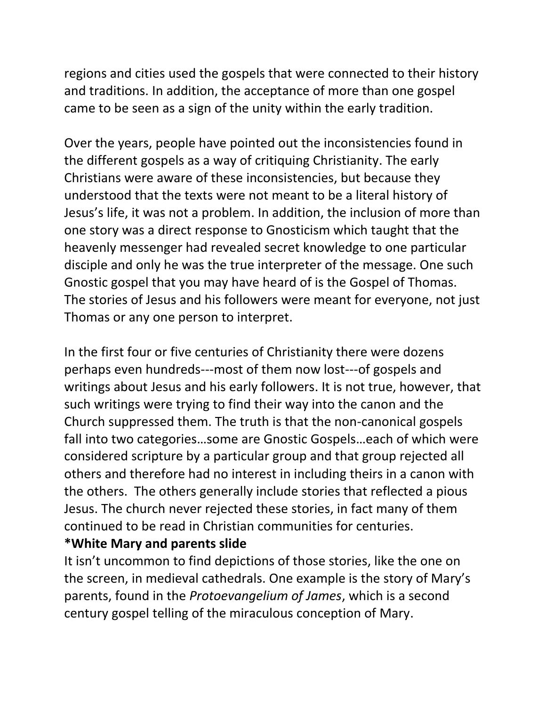regions and cities used the gospels that were connected to their history and traditions. In addition, the acceptance of more than one gospel came to be seen as a sign of the unity within the early tradition.

Over the years, people have pointed out the inconsistencies found in the different gospels as a way of critiquing Christianity. The early Christians were aware of these inconsistencies, but because they understood that the texts were not meant to be a literal history of Jesus's life, it was not a problem. In addition, the inclusion of more than one story was a direct response to Gnosticism which taught that the heavenly messenger had revealed secret knowledge to one particular disciple and only he was the true interpreter of the message. One such Gnostic gospel that you may have heard of is the Gospel of Thomas. The stories of Jesus and his followers were meant for everyone, not just Thomas or any one person to interpret.

In the first four or five centuries of Christianity there were dozens perhaps even hundreds---most of them now lost---of gospels and writings about Jesus and his early followers. It is not true, however, that such writings were trying to find their way into the canon and the Church suppressed them. The truth is that the non-canonical gospels fall into two categories…some are Gnostic Gospels…each of which were considered scripture by a particular group and that group rejected all others and therefore had no interest in including theirs in a canon with the others. The others generally include stories that reflected a pious Jesus. The church never rejected these stories, in fact many of them continued to be read in Christian communities for centuries. **\*White Mary and parents slide**

It isn't uncommon to find depictions of those stories, like the one on the screen, in medieval cathedrals. One example is the story of Mary's parents, found in the *Protoevangelium of James*, which is a second century gospel telling of the miraculous conception of Mary.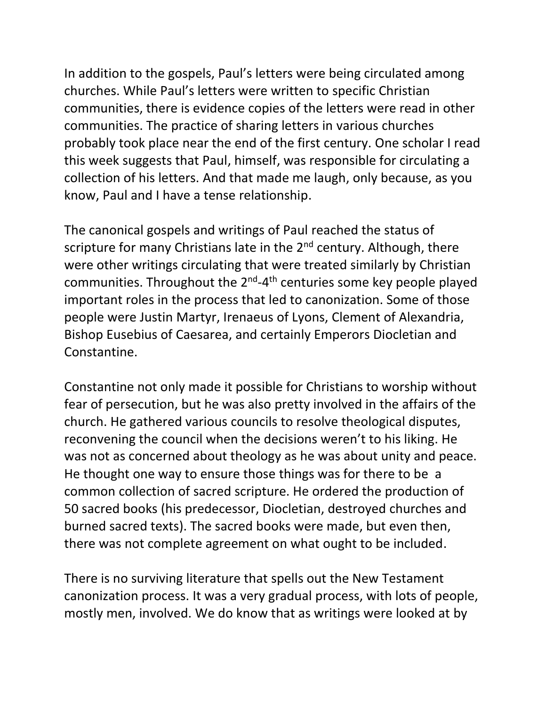In addition to the gospels, Paul's letters were being circulated among churches. While Paul's letters were written to specific Christian communities, there is evidence copies of the letters were read in other communities. The practice of sharing letters in various churches probably took place near the end of the first century. One scholar I read this week suggests that Paul, himself, was responsible for circulating a collection of his letters. And that made me laugh, only because, as you know, Paul and I have a tense relationship.

The canonical gospels and writings of Paul reached the status of scripture for many Christians late in the 2<sup>nd</sup> century. Although, there were other writings circulating that were treated similarly by Christian communities. Throughout the 2<sup>nd</sup>-4<sup>th</sup> centuries some key people played important roles in the process that led to canonization. Some of those people were Justin Martyr, Irenaeus of Lyons, Clement of Alexandria, Bishop Eusebius of Caesarea, and certainly Emperors Diocletian and Constantine.

Constantine not only made it possible for Christians to worship without fear of persecution, but he was also pretty involved in the affairs of the church. He gathered various councils to resolve theological disputes, reconvening the council when the decisions weren't to his liking. He was not as concerned about theology as he was about unity and peace. He thought one way to ensure those things was for there to be a common collection of sacred scripture. He ordered the production of 50 sacred books (his predecessor, Diocletian, destroyed churches and burned sacred texts). The sacred books were made, but even then, there was not complete agreement on what ought to be included.

There is no surviving literature that spells out the New Testament canonization process. It was a very gradual process, with lots of people, mostly men, involved. We do know that as writings were looked at by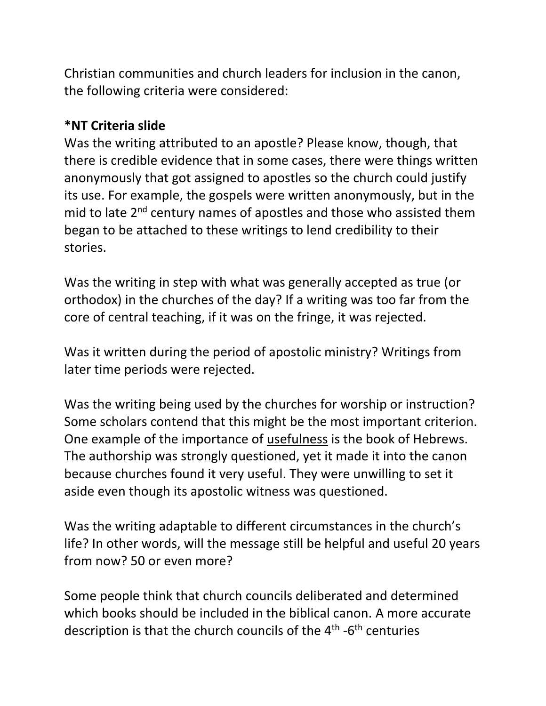Christian communities and church leaders for inclusion in the canon, the following criteria were considered:

#### **\*NT Criteria slide**

Was the writing attributed to an apostle? Please know, though, that there is credible evidence that in some cases, there were things written anonymously that got assigned to apostles so the church could justify its use. For example, the gospels were written anonymously, but in the mid to late 2<sup>nd</sup> century names of apostles and those who assisted them began to be attached to these writings to lend credibility to their stories.

Was the writing in step with what was generally accepted as true (or orthodox) in the churches of the day? If a writing was too far from the core of central teaching, if it was on the fringe, it was rejected.

Was it written during the period of apostolic ministry? Writings from later time periods were rejected.

Was the writing being used by the churches for worship or instruction? Some scholars contend that this might be the most important criterion. One example of the importance of usefulness is the book of Hebrews. The authorship was strongly questioned, yet it made it into the canon because churches found it very useful. They were unwilling to set it aside even though its apostolic witness was questioned.

Was the writing adaptable to different circumstances in the church's life? In other words, will the message still be helpful and useful 20 years from now? 50 or even more?

Some people think that church councils deliberated and determined which books should be included in the biblical canon. A more accurate description is that the church councils of the 4<sup>th</sup> -6<sup>th</sup> centuries